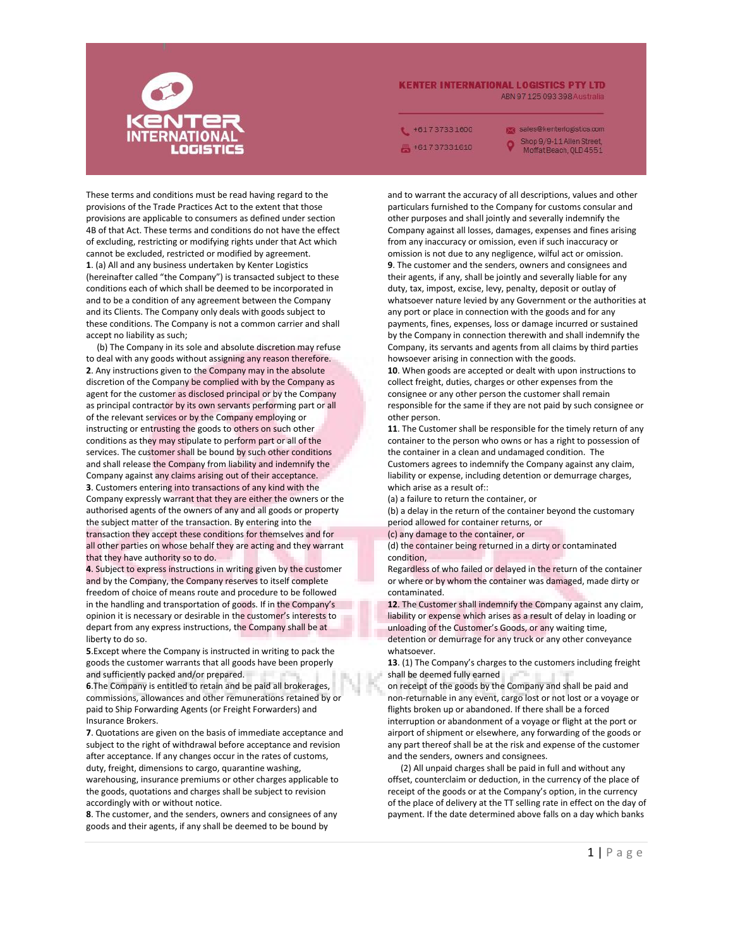

## **KENTER INTERNATIONAL LOGISTICS PTY LTD** ABN 97 125 093 398 Australia

 $+61737331600$ +61737331610

sales@kenterlogistics.com Shop 9/9-11 Allen Street, Moffat Beach, QLD 4551

These terms and conditions must be read having regard to the provisions of the Trade Practices Act to the extent that those provisions are applicable to consumers as defined under section 4B of that Act. These terms and conditions do not have the effect of excluding, restricting or modifying rights under that Act which cannot be excluded, restricted or modified by agreement. **1**. (a) All and any business undertaken by Kenter Logistics (hereinafter called "the Company") is transacted subject to these conditions each of which shall be deemed to be incorporated in and to be a condition of any agreement between the Company and its Clients. The Company only deals with goods subject to these conditions. The Company is not a common carrier and shall accept no liability as such;

(b) The Company in its sole and absolute discretion may refuse to deal with any goods without assigning any reason therefore. **2**. Any instructions given to the Company may in the absolute discretion of the Company be complied with by the Company as agent for the customer as disclosed principal or by the Company as principal contractor by its own servants performing part or all of the relevant services or by the Company employing or instructing or entrusting the goods to others on such other conditions as they may stipulate to perform part or all of the services. The customer shall be bound by such other conditions and shall release the Company from liability and indemnify the Company against any claims arising out of their acceptance. **3**. Customers entering into transactions of any kind with the Company expressly warrant that they are either the owners or the authorised agents of the owners of any and all goods or property the subject matter of the transaction. By entering into the transaction they accept these conditions for themselves and for all other parties on whose behalf they are acting and they warrant that they have authority so to do.

**4**. Subject to express instructions in writing given by the customer and by the Company, the Company reserves to itself complete freedom of choice of means route and procedure to be followed in the handling and transportation of goods. If in the Company's opinion it is necessary or desirable in the customer's interests to depart from any express instructions, the Company shall be at liberty to do so.

**5**.Except where the Company is instructed in writing to pack the goods the customer warrants that all goods have been properly and sufficiently packed and/or prepared.

**6**.The Company is entitled to retain and be paid all brokerages, commissions, allowances and other remunerations retained by or paid to Ship Forwarding Agents (or Freight Forwarders) and Insurance Brokers.

**7**. Quotations are given on the basis of immediate acceptance and subject to the right of withdrawal before acceptance and revision after acceptance. If any changes occur in the rates of customs, duty, freight, dimensions to cargo, quarantine washing, warehousing, insurance premiums or other charges applicable to the goods, quotations and charges shall be subject to revision accordingly with or without notice.

**8**. The customer, and the senders, owners and consignees of any goods and their agents, if any shall be deemed to be bound by

and to warrant the accuracy of all descriptions, values and other particulars furnished to the Company for customs consular and other purposes and shall jointly and severally indemnify the Company against all losses, damages, expenses and fines arising from any inaccuracy or omission, even if such inaccuracy or omission is not due to any negligence, wilful act or omission. **9**. The customer and the senders, owners and consignees and their agents, if any, shall be jointly and severally liable for any duty, tax, impost, excise, levy, penalty, deposit or outlay of whatsoever nature levied by any Government or the authorities at any port or place in connection with the goods and for any payments, fines, expenses, loss or damage incurred or sustained by the Company in connection therewith and shall indemnify the Company, its servants and agents from all claims by third parties howsoever arising in connection with the goods.

**10**. When goods are accepted or dealt with upon instructions to collect freight, duties, charges or other expenses from the consignee or any other person the customer shall remain responsible for the same if they are not paid by such consignee or other person.

**11**. The Customer shall be responsible for the timely return of any container to the person who owns or has a right to possession of the container in a clean and undamaged condition. The Customers agrees to indemnify the Company against any claim, liability or expense, including detention or demurrage charges, which arise as a result of::

(a) a failure to return the container, or

(b) a delay in the return of the container beyond the customary period allowed for container returns, or

(c) any damage to the container, or

(d) the container being returned in a dirty or contaminated condition,

Regardless of who failed or delayed in the return of the container or where or by whom the container was damaged, made dirty or contaminated.

**12**. The Customer shall indemnify the Company against any claim, liability or expense which arises as a result of delay in loading or unloading of the Customer's Goods, or any waiting time, detention or demurrage for any truck or any other conveyance whatsoever.

**13**. (1) The Company's charges to the customers including freight shall be deemed fully earned

on receipt of the goods by the Company and shall be paid and non-returnable in any event, cargo lost or not lost or a voyage or flights broken up or abandoned. If there shall be a forced interruption or abandonment of a voyage or flight at the port or airport of shipment or elsewhere, any forwarding of the goods or any part thereof shall be at the risk and expense of the customer and the senders, owners and consignees.

(2) All unpaid charges shall be paid in full and without any offset, counterclaim or deduction, in the currency of the place of receipt of the goods or at the Company's option, in the currency of the place of delivery at the TT selling rate in effect on the day of payment. If the date determined above falls on a day which banks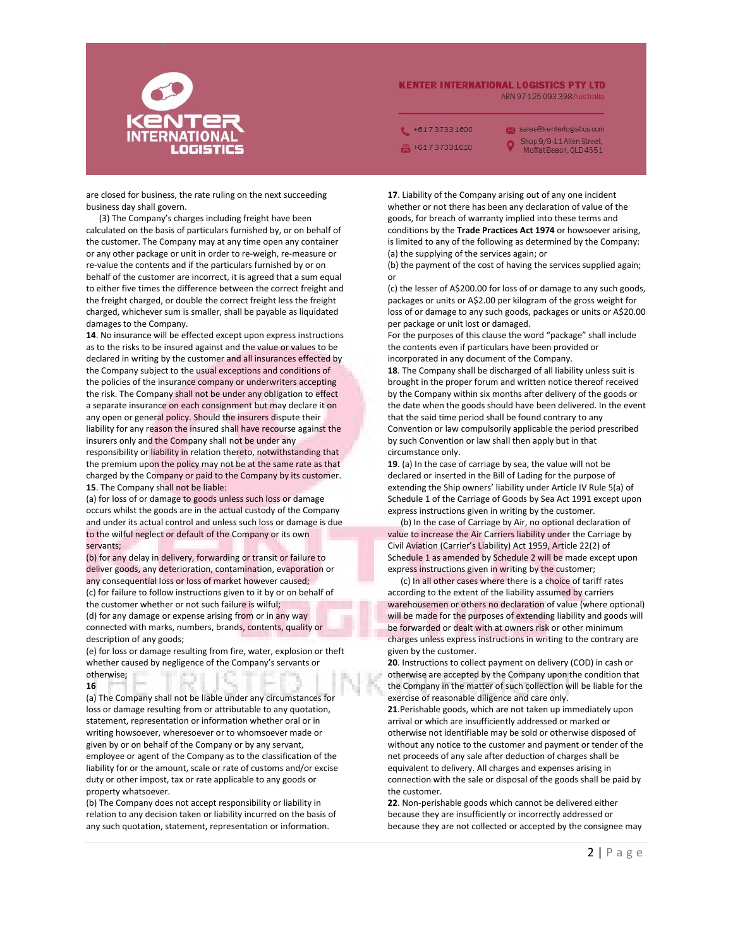

## **KENTER INTERNATIONAL LOGISTICS PTY LTD** ABN 97 125 093 398 Australia

 $+61737331600$ +61737331610

sales@kenterlogistics.com Shop 9/9-11 Allen Street, Moffat Beach, OLD 4551

are closed for business, the rate ruling on the next succeeding business day shall govern.

(3) The Company's charges including freight have been calculated on the basis of particulars furnished by, or on behalf of the customer. The Company may at any time open any container or any other package or unit in order to re-weigh, re-measure or re-value the contents and if the particulars furnished by or on behalf of the customer are incorrect, it is agreed that a sum equal to either five times the difference between the correct freight and the freight charged, or double the correct freight less the freight charged, whichever sum is smaller, shall be payable as liquidated damages to the Company.

**14**. No insurance will be effected except upon express instructions as to the risks to be insured against and the value or values to be declared in writing by the customer and all insurances effected by the Company subject to the usual exceptions and conditions of the policies of the insurance company or underwriters accepting the risk. The Company shall not be under any obligation to effect a separate insurance on each consignment but may declare it on any open or general policy. Should the insurers dispute their liability for any reason the insured shall have recourse against the insurers only and the Company shall not be under any responsibility or liability in relation thereto, notwithstanding that the premium upon the policy may not be at the same rate as that charged by the Company or paid to the Company by its customer. **15**. The Company shall not be liable:

(a) for loss of or damage to goods unless such loss or damage occurs whilst the goods are in the actual custody of the Company and under its actual control and unless such loss or damage is due to the wilful neglect or default of the Company or its own servants;

(b) for any delay in delivery, forwarding or transit or failure to deliver goods, any deterioration, contamination, evaporation or any consequential loss or loss of market however caused; (c) for failure to follow instructions given to it by or on behalf of the customer whether or not such failure is wilful; (d) for any damage or expense arising from or in any way connected with marks, numbers, brands, contents, quality or description of any goods;

(e) for loss or damage resulting from fire, water, explosion or theft whether caused by negligence of the Company's servants or otherwise;

**16**

(a) The Company shall not be liable under any circumstances for loss or damage resulting from or attributable to any quotation, statement, representation or information whether oral or in writing howsoever, wheresoever or to whomsoever made or given by or on behalf of the Company or by any servant, employee or agent of the Company as to the classification of the liability for or the amount, scale or rate of customs and/or excise duty or other impost, tax or rate applicable to any goods or property whatsoever.

(b) The Company does not accept responsibility or liability in relation to any decision taken or liability incurred on the basis of any such quotation, statement, representation or information.

**17**. Liability of the Company arising out of any one incident whether or not there has been any declaration of value of the goods, for breach of warranty implied into these terms and conditions by the **Trade Practices Act 1974** or howsoever arising, is limited to any of the following as determined by the Company: (a) the supplying of the services again; or

(b) the payment of the cost of having the services supplied again; or

(c) the lesser of A\$200.00 for loss of or damage to any such goods, packages or units or A\$2.00 per kilogram of the gross weight for loss of or damage to any such goods, packages or units or A\$20.00 per package or unit lost or damaged.

For the purposes of this clause the word "package" shall include the contents even if particulars have been provided or incorporated in any document of the Company.

**18**. The Company shall be discharged of all liability unless suit is brought in the proper forum and written notice thereof received by the Company within six months after delivery of the goods or the date when the goods should have been delivered. In the event that the said time period shall be found contrary to any Convention or law compulsorily applicable the period prescribed by such Convention or law shall then apply but in that circumstance only.

**19**. (a) In the case of carriage by sea, the value will not be declared or inserted in the Bill of Lading for the purpose of extending the Ship owners' liability under Article IV Rule 5(a) of Schedule 1 of the Carriage of Goods by Sea Act 1991 except upon express instructions given in writing by the customer.

(b) In the case of Carriage by Air, no optional declaration of value to increase the Air Carriers liability under the Carriage by Civil Aviation (Carrier's Liability) Act 1959, Article 22(2) of Schedule 1 as amended by Schedule 2 will be made except upon express instructions given in writing by the customer;

(c) In all other cases where there is a choice of tariff rates according to the extent of the liability assumed by carriers warehousemen or others no declaration of value (where optional) will be made for the purposes of extending liability and goods will be forwarded or dealt with at owners risk or other minimum charges unless express instructions in writing to the contrary are given by the customer.

**20**. Instructions to collect payment on delivery (COD) in cash or otherwise are accepted by the Company upon the condition that the Company in the matter of such collection will be liable for the exercise of reasonable diligence and care only.

**21**.Perishable goods, which are not taken up immediately upon arrival or which are insufficiently addressed or marked or otherwise not identifiable may be sold or otherwise disposed of without any notice to the customer and payment or tender of the net proceeds of any sale after deduction of charges shall be equivalent to delivery. All charges and expenses arising in connection with the sale or disposal of the goods shall be paid by the customer.

**22**. Non-perishable goods which cannot be delivered either because they are insufficiently or incorrectly addressed or because they are not collected or accepted by the consignee may